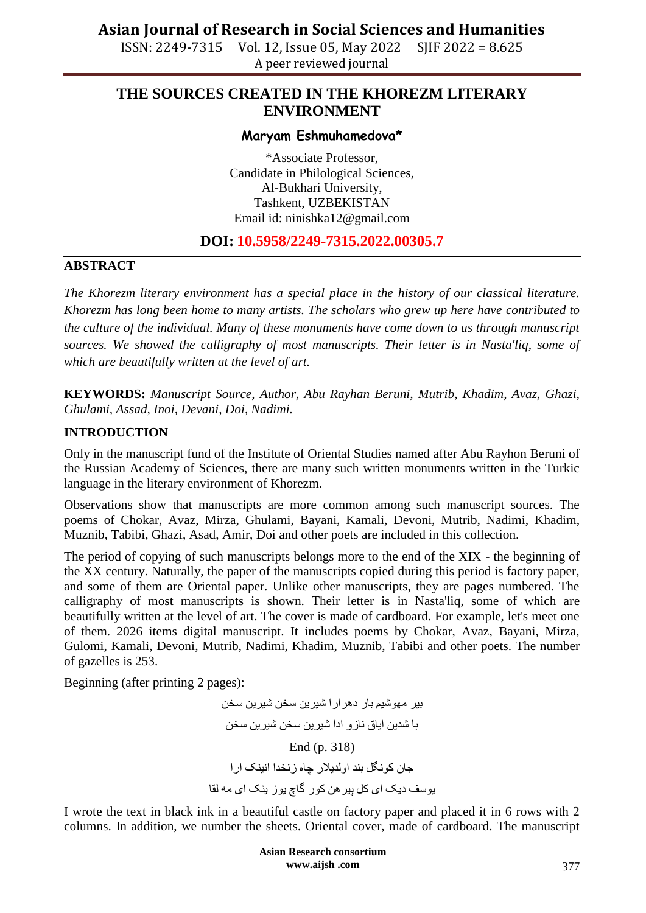ISSN: 2249-7315 Vol. 12, Issue 05, May 2022 SJIF 2022 = 8.625 A peer reviewed journal

## **THE SOURCES CREATED IN THE KHOREZM LITERARY ENVIRONMENT**

#### **Maryam Eshmuhamedova\***

\*Associate Professor, Candidate in Philological Sciences, Al-Bukhari University, Tashkent, UZBEKISTAN Email id: ninishka12@gmail.com

### **DOI: 10.5958/2249-7315.2022.00305.7**

#### **ABSTRACT**

*The Khorezm literary environment has a special place in the history of our classical literature. Khorezm has long been home to many artists. The scholars who grew up here have contributed to the culture of the individual. Many of these monuments have come down to us through manuscript sources. We showed the calligraphy of most manuscripts. Their letter is in Nasta'liq, some of which are beautifully written at the level of art.*

**KEYWORDS:** *Manuscript Source, Author, Abu Rayhan Beruni, Mutrib, Khadim, Avaz, Ghazi, Ghulami, Assad, Inoi, Devani, Doi, Nadimi.*

#### **INTRODUCTION**

Only in the manuscript fund of the Institute of Oriental Studies named after Abu Rayhon Beruni of the Russian Academy of Sciences, there are many such written monuments written in the Turkic language in the literary environment of Khorezm.

Observations show that manuscripts are more common among such manuscript sources. The poems of Chokar, Avaz, Mirza, Ghulami, Bayani, Kamali, Devoni, Mutrib, Nadimi, Khadim, Muznib, Tabibi, Ghazi, Asad, Amir, Doi and other poets are included in this collection.

The period of copying of such manuscripts belongs more to the end of the XIX - the beginning of the XX century. Naturally, the paper of the manuscripts copied during this period is factory paper, and some of them are Oriental paper. Unlike other manuscripts, they are pages numbered. The calligraphy of most manuscripts is shown. Their letter is in Nasta'liq, some of which are beautifully written at the level of art. The cover is made of cardboard. For example, let's meet one of them. 2026 items digital manuscript. It includes poems by Chokar, Avaz, Bayani, Mirza, Gulomi, Kamali, Devoni, Mutrib, Nadimi, Khadim, Muznib, Tabibi and other poets. The number of gazelles is 253.

Beginning (after printing 2 pages):

بیر مهوشیم بار دهر ار ا شیرین سخن شیرین سخن با شدین ایاق ناز و ادا شیرین سخن شیرین سخن End (p. 318) جان کو نگل بند او لدیلار چاه ز نخدا انبنک ار ا یوسف دیک ای کل پیر هن کور گاچ یوز پنک ای مه لقا

I wrote the text in black ink in a beautiful castle on factory paper and placed it in 6 rows with 2 columns. In addition, we number the sheets. Oriental cover, made of cardboard. The manuscript

> **Asian Research consortium www.aijsh .com**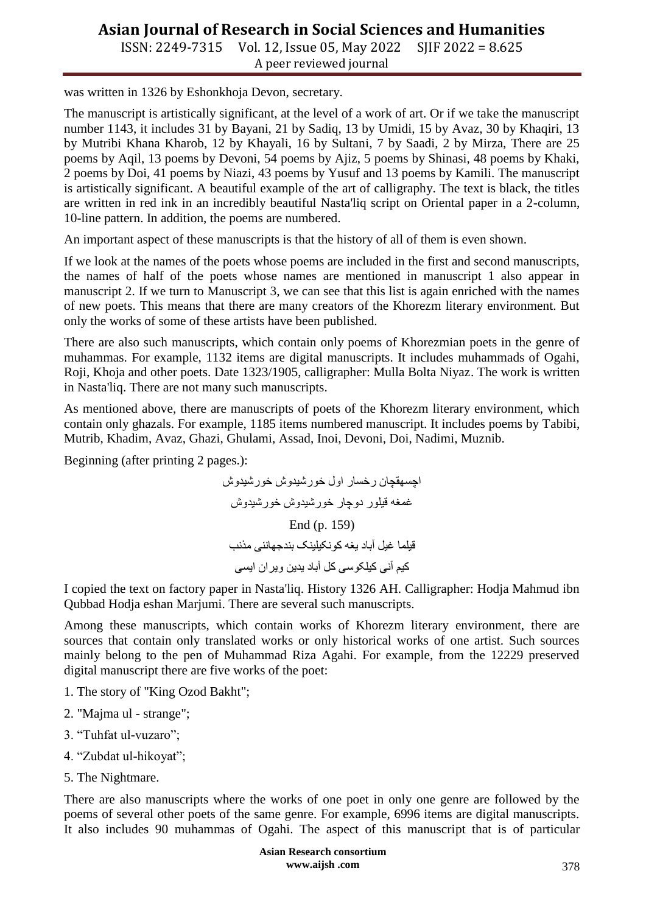# **Asian Journal of Research in Social Sciences and Humanities**

ISSN: 2249-7315 Vol. 12, Issue 05, May 2022 SJIF 2022 = 8.625 A peer reviewed journal

was written in 1326 by Eshonkhoja Devon, secretary.

The manuscript is artistically significant, at the level of a work of art. Or if we take the manuscript number 1143, it includes 31 by Bayani, 21 by Sadiq, 13 by Umidi, 15 by Avaz, 30 by Khaqiri, 13 by Mutribi Khana Kharob, 12 by Khayali, 16 by Sultani, 7 by Saadi, 2 by Mirza, There are 25 poems by Aqil, 13 poems by Devoni, 54 poems by Ajiz, 5 poems by Shinasi, 48 poems by Khaki, 2 poems by Doi, 41 poems by Niazi, 43 poems by Yusuf and 13 poems by Kamili. The manuscript is artistically significant. A beautiful example of the art of calligraphy. The text is black, the titles are written in red ink in an incredibly beautiful Nasta'liq script on Oriental paper in a 2-column, 10-line pattern. In addition, the poems are numbered.

An important aspect of these manuscripts is that the history of all of them is even shown.

If we look at the names of the poets whose poems are included in the first and second manuscripts, the names of half of the poets whose names are mentioned in manuscript 1 also appear in manuscript 2. If we turn to Manuscript 3, we can see that this list is again enriched with the names of new poets. This means that there are many creators of the Khorezm literary environment. But only the works of some of these artists have been published.

There are also such manuscripts, which contain only poems of Khorezmian poets in the genre of muhammas. For example, 1132 items are digital manuscripts. It includes muhammads of Ogahi, Roji, Khoja and other poets. Date 1323/1905, calligrapher: Mulla Bolta Niyaz. The work is written in Nasta'liq. There are not many such manuscripts.

As mentioned above, there are manuscripts of poets of the Khorezm literary environment, which contain only ghazals. For example, 1185 items numbered manuscript. It includes poems by Tabibi, Mutrib, Khadim, Avaz, Ghazi, Ghulami, Assad, Inoi, Devoni, Doi, Nadimi, Muznib.

Beginning (after printing 2 pages.):

اجِسهقچان رخسار اول خورشیدوش خورشیدوش غُمغَه قیلور دوچار خورشیدوش خورشیدوش End (p. 159) قیلما غیل آباد یغه کو نکیلینک بندجهاننی مذنب کیم آنی کیلکوسی کل آباد یدین ویران ایسی

I copied the text on factory paper in Nasta'liq. History 1326 AH. Calligrapher: Hodja Mahmud ibn Qubbad Hodja eshan Marjumi. There are several such manuscripts.

Among these manuscripts, which contain works of Khorezm literary environment, there are sources that contain only translated works or only historical works of one artist. Such sources mainly belong to the pen of Muhammad Riza Agahi. For example, from the 12229 preserved digital manuscript there are five works of the poet:

- 1. The story of "King Ozod Bakht";
- 2. "Majma ul strange";
- 3. "Tuhfat ul-vuzaro";
- 4. "Zubdat ul-hikoyat";
- 5. The Nightmare.

There are also manuscripts where the works of one poet in only one genre are followed by the poems of several other poets of the same genre. For example, 6996 items are digital manuscripts. It also includes 90 muhammas of Ogahi. The aspect of this manuscript that is of particular